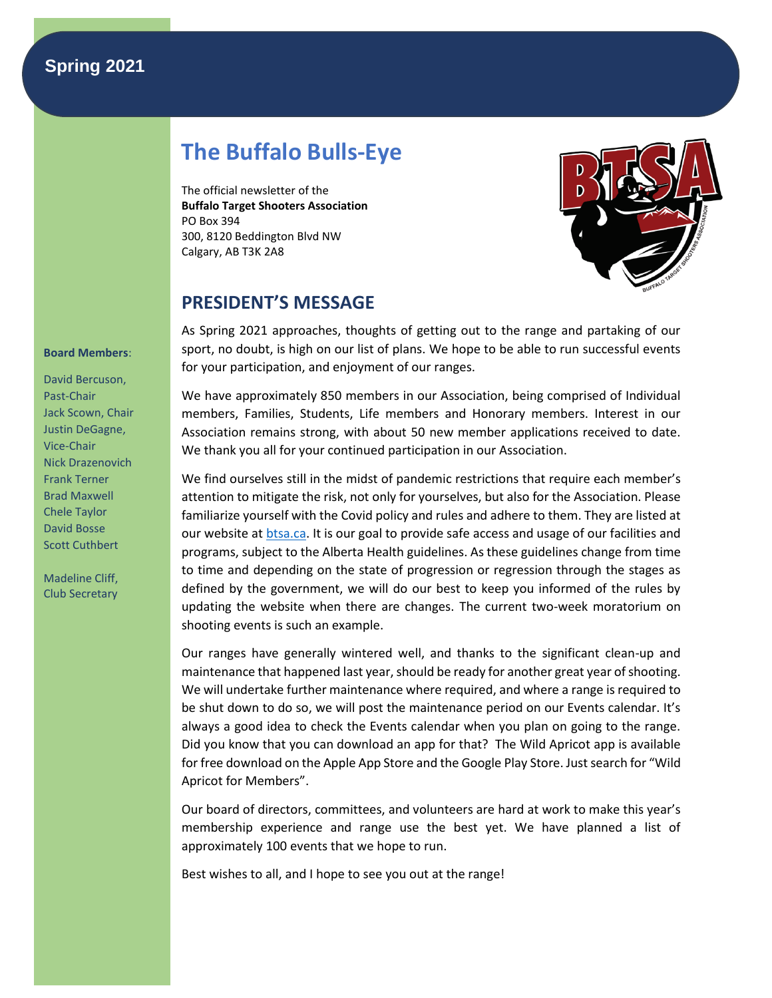## **Spring 2021**

# **The Buffalo Bulls-Eye**

The official newsletter of the **Buffalo Target Shooters Association** PO Box 394 300, 8120 Beddington Blvd NW Calgary, AB T3K 2A8



### **PRESIDENT'S MESSAGE**

As Spring 2021 approaches, thoughts of getting out to the range and partaking of our sport, no doubt, is high on our list of plans. We hope to be able to run successful events for your participation, and enjoyment of our ranges.

We have approximately 850 members in our Association, being comprised of Individual members, Families, Students, Life members and Honorary members. Interest in our Association remains strong, with about 50 new member applications received to date. We thank you all for your continued participation in our Association.

We find ourselves still in the midst of pandemic restrictions that require each member's attention to mitigate the risk, not only for yourselves, but also for the Association. Please familiarize yourself with the Covid policy and rules and adhere to them. They are listed at our website at [btsa.ca.](https://btsa.ca/) It is our goal to provide safe access and usage of our facilities and programs, subject to the Alberta Health guidelines. As these guidelines change from time to time and depending on the state of progression or regression through the stages as defined by the government, we will do our best to keep you informed of the rules by updating the website when there are changes. The current two-week moratorium on shooting events is such an example.

Our ranges have generally wintered well, and thanks to the significant clean-up and maintenance that happened last year, should be ready for another great year of shooting. We will undertake further maintenance where required, and where a range is required to be shut down to do so, we will post the maintenance period on our Events calendar. It's always a good idea to check the Events calendar when you plan on going to the range. Did you know that you can download an app for that? The Wild Apricot app is available for free download on the Apple App Store and the Google Play Store. Just search for "Wild Apricot for Members".

Our board of directors, committees, and volunteers are hard at work to make this year's membership experience and range use the best yet. We have planned a list of approximately 100 events that we hope to run.

Best wishes to all, and I hope to see you out at the range!

#### **Board Members**:

David Bercuson, Past-Chair Jack Scown, Chair Justin DeGagne, Vice-Chair Nick Drazenovich Frank Terner Brad Maxwell Chele Taylor David Bosse Scott Cuthbert

Madeline Cliff, Club Secretary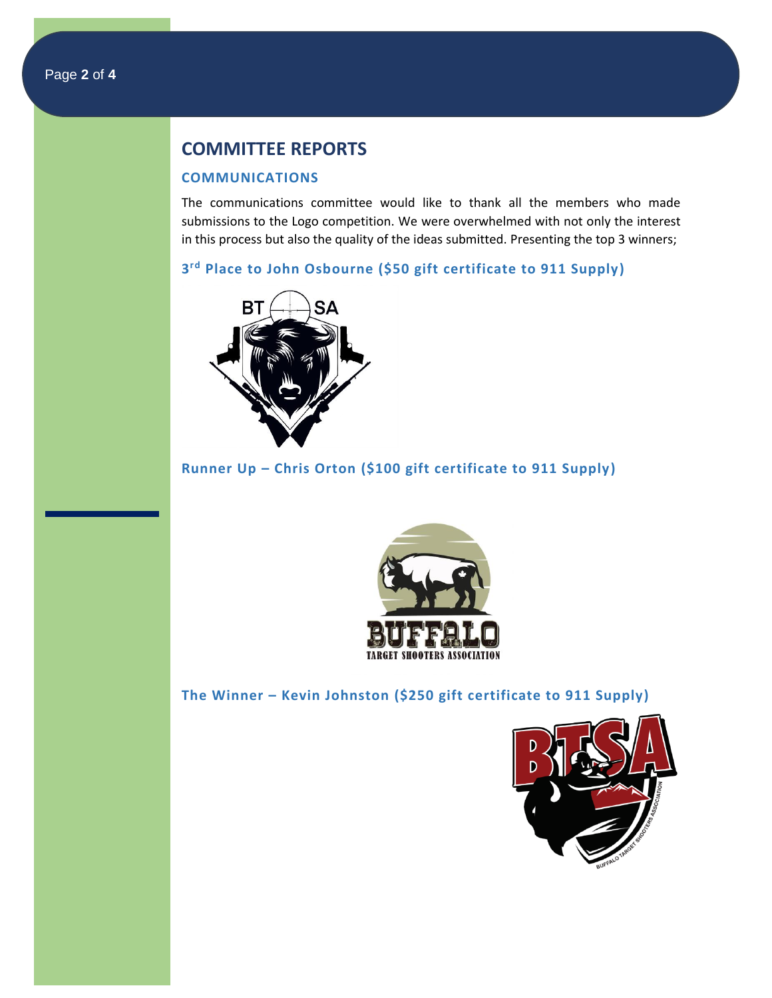### **COMMITTEE REPORTS**

#### **COMMUNICATIONS**

The communications committee would like to thank all the members who made submissions to the Logo competition. We were overwhelmed with not only the interest in this process but also the quality of the ideas submitted. Presenting the top 3 winners;

**3 rd Place to John Osbourne (\$50 gift certificate to 911 Supply)**



**Runner Up – Chris Orton (\$100 gift certificate to 911 Supply)**



**The Winner – Kevin Johnston (\$250 gift certificate to 911 Supply)**

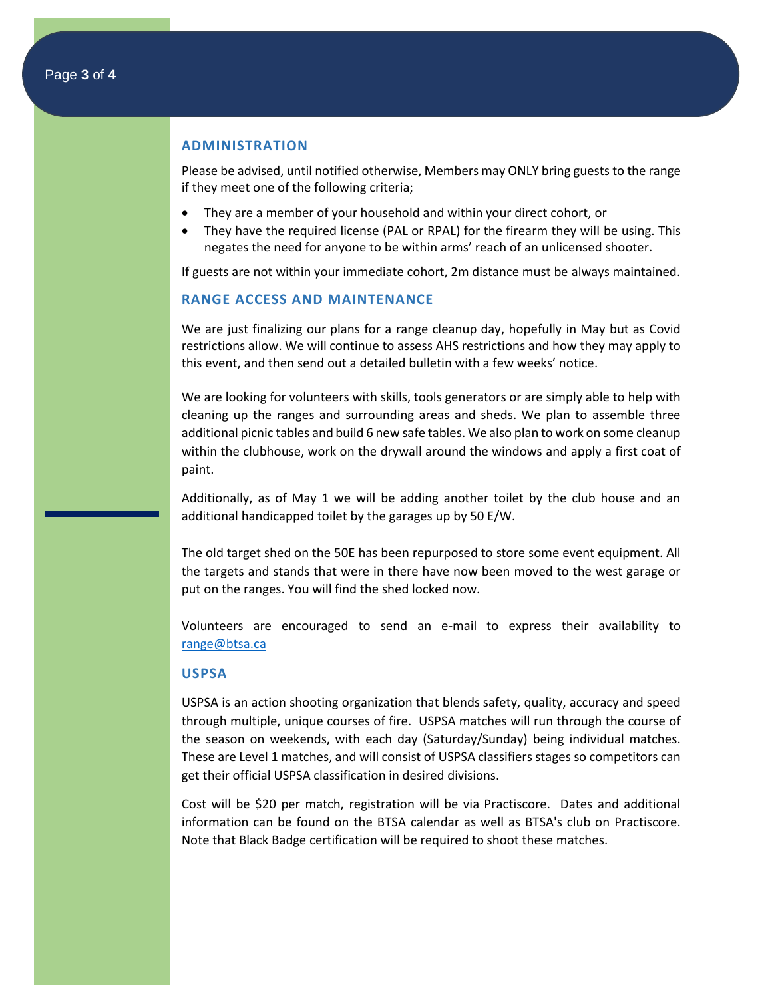### **ADMINISTRATION**

Please be advised, until notified otherwise, Members may ONLY bring guests to the range if they meet one of the following criteria;

- They are a member of your household and within your direct cohort, or
- They have the required license (PAL or RPAL) for the firearm they will be using. This negates the need for anyone to be within arms' reach of an unlicensed shooter.

If guests are not within your immediate cohort, 2m distance must be always maintained.

#### **RANGE ACCESS AND MAINTENANCE**

We are just finalizing our plans for a range cleanup day, hopefully in May but as Covid restrictions allow. We will continue to assess AHS restrictions and how they may apply to this event, and then send out a detailed bulletin with a few weeks' notice.

We are looking for volunteers with skills, tools generators or are simply able to help with cleaning up the ranges and surrounding areas and sheds. We plan to assemble three additional picnic tables and build 6 new safe tables. We also plan to work on some cleanup within the clubhouse, work on the drywall around the windows and apply a first coat of paint.

Additionally, as of May 1 we will be adding another toilet by the club house and an additional handicapped toilet by the garages up by 50 E/W.

The old target shed on the 50E has been repurposed to store some event equipment. All the targets and stands that were in there have now been moved to the west garage or put on the ranges. You will find the shed locked now.

Volunteers are encouraged to send an e-mail to express their availability to [range@btsa.ca](mailto:range@btsa.ca)

#### **USPSA**

USPSA is an action shooting organization that blends safety, quality, accuracy and speed through multiple, unique courses of fire. USPSA matches will run through the course of the season on weekends, with each day (Saturday/Sunday) being individual matches. These are Level 1 matches, and will consist of USPSA classifiers stages so competitors can get their official USPSA classification in desired divisions.

Cost will be \$20 per match, registration will be via Practiscore. Dates and additional information can be found on the BTSA calendar as well as BTSA's club on Practiscore. Note that Black Badge certification will be required to shoot these matches.